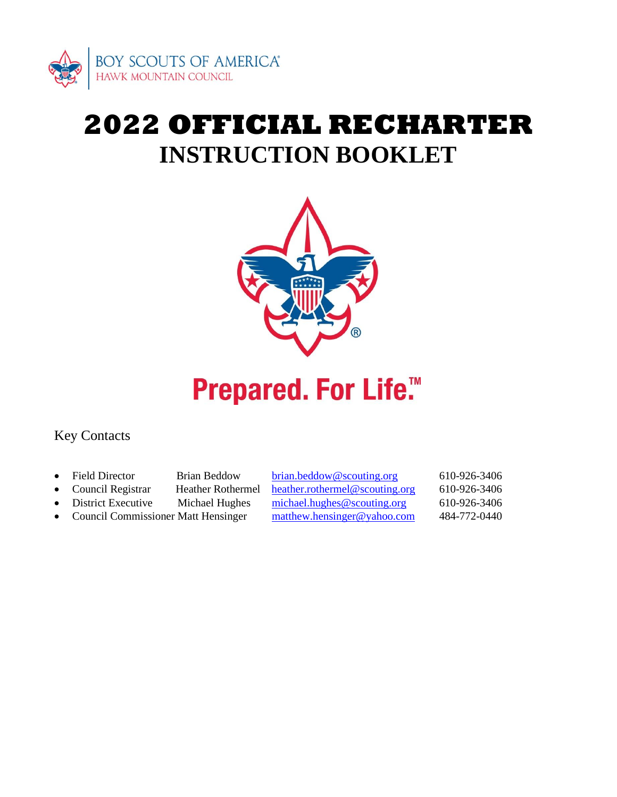

# **2022 OFFICIAL RECHARTER INSTRUCTION BOOKLET**



# **Prepared. For Life.™**

## Key Contacts

- Field Director Brian Beddow [brian.beddow@scouting.org](mailto:brian.beddow@scouting.org) 610-926-3406
	-
	-
- Council Commissioner Matt Hensinger [matthew.hensinger@yahoo.com](mailto:matthew.hensinger@yahoo.com) 484-772-0440

• Council Registrar Heather Rothermel [heather.rothermel@scouting.org](mailto:heather.rothermel@scouting.org) 610-926-3406 District Executive Michael Hughes [michael.hughes@scouting.org](mailto:michael.hughes@scouting.org) 610-926-3406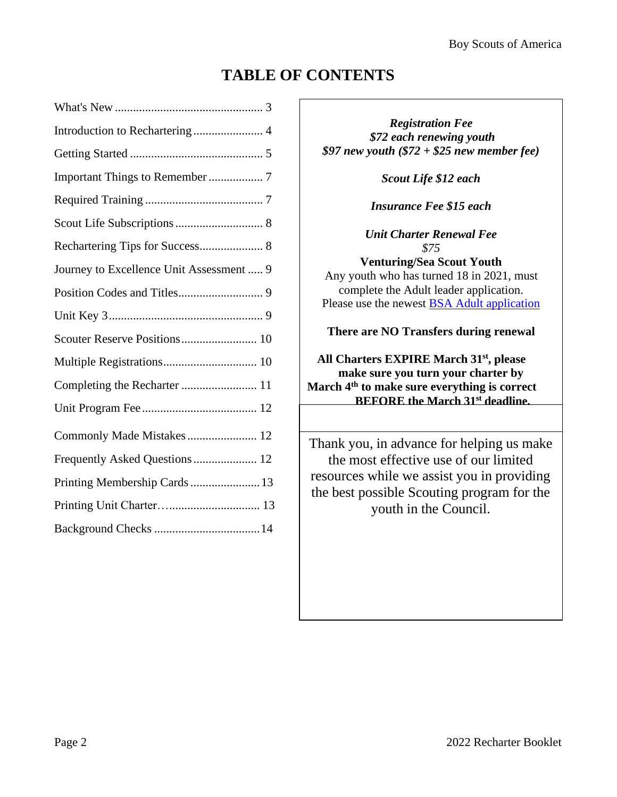# **TABLE OF CONTENTS**

| Introduction to Rechartering  4          |
|------------------------------------------|
|                                          |
|                                          |
|                                          |
|                                          |
| Rechartering Tips for Success 8          |
| Journey to Excellence Unit Assessment  9 |
|                                          |
|                                          |
| Scouter Reserve Positions 10             |
| Multiple Registrations 10                |
|                                          |
|                                          |
| Commonly Made Mistakes 12                |
| Frequently Asked Questions  12           |
| Printing Membership Cards  13            |
|                                          |
|                                          |
|                                          |

*Registration Fee \$72 each renewing youth \$97 new youth (\$72 + \$25 new member fee)* 

*Scout Life \$12 each*

*Insurance Fee \$15 each*

*Unit Charter Renewal Fee \$75*

**Venturing/Sea Scout Youth** Any youth who has turned 18 in 2021, must complete the Adult leader application. Please use the newest BSA Adult [application](https://filestore.scouting.org/filestore/pdf/524-501.pdf)

**There are NO Transfers during renewal**

**All Charters EXPIRE March 31st , please make sure you turn your charter by March 4th to make sure everything is correct BEFORE the March 31st deadline.**

Thank you, in advance for helping us make the most effective use of our limited resources while we assist you in providing the best possible Scouting program for the youth in the Council.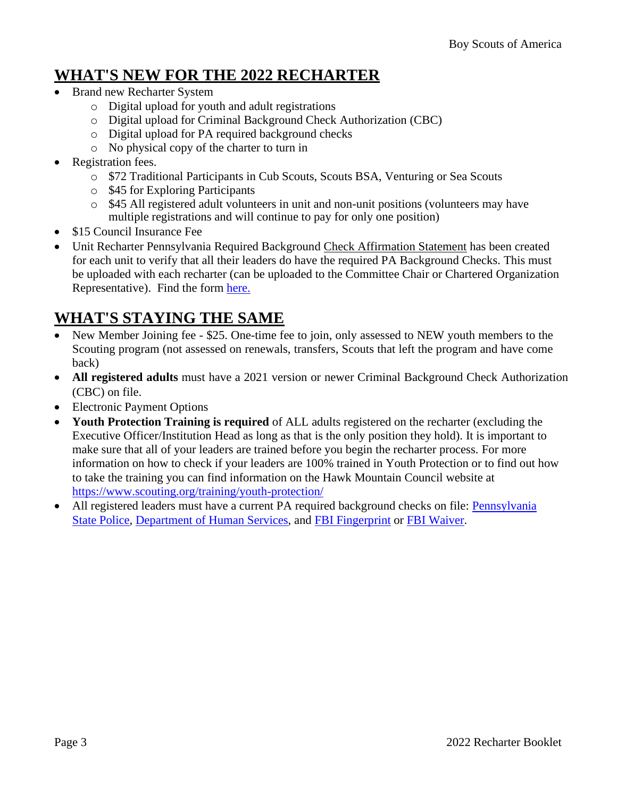## **WHAT'S NEW FOR THE 2022 RECHARTER**

- Brand new Recharter System
	- o Digital upload for youth and adult registrations
	- o Digital upload for Criminal Background Check Authorization (CBC)
	- o Digital upload for PA required background checks
	- o No physical copy of the charter to turn in
- Registration fees.
	- o \$72 Traditional Participants in Cub Scouts, Scouts BSA, Venturing or Sea Scouts
	- o \$45 for Exploring Participants
	- o \$45 All registered adult volunteers in unit and non-unit positions (volunteers may have multiple registrations and will continue to pay for only one position)
- \$15 Council Insurance Fee
- Unit Recharter Pennsylvania Required Background Check Affirmation Statement has been created for each unit to verify that all their leaders do have the required PA Background Checks. This must be uploaded with each recharter (can be uploaded to the Committee Chair or Chartered Organization Representative). Find the form [here.](https://hmc-bsa.org/wp-content/uploads/2022/01/affirmation-sheet-fixed.pdf)

# **WHAT'S STAYING THE SAME**

- New Member Joining fee \$25. One-time fee to join, only assessed to NEW youth members to the Scouting program (not assessed on renewals, transfers, Scouts that left the program and have come back)
- **All registered adults** must have a 2021 version or newer Criminal Background Check Authorization (CBC) on file.
- Electronic Payment Options
- **Youth Protection Training is required** of ALL adults registered on the recharter (excluding the Executive Officer/Institution Head as long as that is the only position they hold). It is important to make sure that all of your leaders are trained before you begin the recharter process. For more information on how to check if your leaders are 100% trained in Youth Protection or to find out how to take the training you can find information on the Hawk Mountain Council website at <https://www.scouting.org/training/youth-protection/>
- All registered leaders must have a current PA required background checks on file: [Pennsylvania](https://epatch.state.pa.us/Home.jsp) State [Police,](https://epatch.state.pa.us/Home.jsp) [Department](https://www.compass.state.pa.us/CWIS) of Human Services, and FBI [Fingerprint](https://www.identogo.com/locations/pennsylvania) or FBI [Waiver.](https://hmc-bsa.org/wp-content/uploads/2018/08/HMC-Disclosure-Background-Check-Updated-9-6-2019.pdf)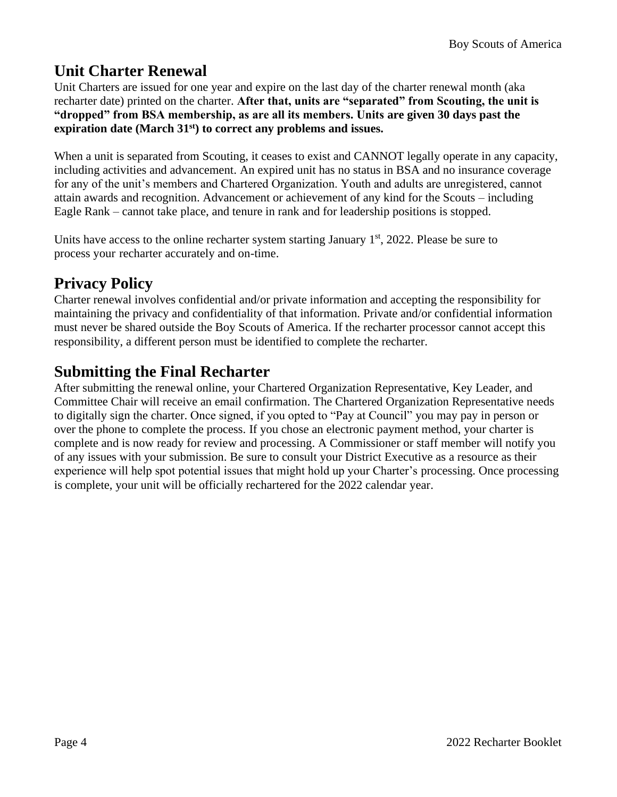# **Unit Charter Renewal**

Unit Charters are issued for one year and expire on the last day of the charter renewal month (aka recharter date) printed on the charter. **After that, units are "separated" from Scouting, the unit is "dropped" from BSA membership, as are all its members. Units are given 30 days past the expiration date (March 31st) to correct any problems and issues.**

When a unit is separated from Scouting, it ceases to exist and CANNOT legally operate in any capacity, including activities and advancement. An expired unit has no status in BSA and no insurance coverage for any of the unit's members and Chartered Organization. Youth and adults are unregistered, cannot attain awards and recognition. Advancement or achievement of any kind for the Scouts – including Eagle Rank – cannot take place, and tenure in rank and for leadership positions is stopped.

Units have access to the online recharter system starting January  $1<sup>st</sup>$ , 2022. Please be sure to process your recharter accurately and on-time.

# **Privacy Policy**

Charter renewal involves confidential and/or private information and accepting the responsibility for maintaining the privacy and confidentiality of that information. Private and/or confidential information must never be shared outside the Boy Scouts of America. If the recharter processor cannot accept this responsibility, a different person must be identified to complete the recharter.

# **Submitting the Final Recharter**

After submitting the renewal online, your Chartered Organization Representative, Key Leader, and Committee Chair will receive an email confirmation. The Chartered Organization Representative needs to digitally sign the charter. Once signed, if you opted to "Pay at Council" you may pay in person or over the phone to complete the process. If you chose an electronic payment method, your charter is complete and is now ready for review and processing. A Commissioner or staff member will notify you of any issues with your submission. Be sure to consult your District Executive as a resource as their experience will help spot potential issues that might hold up your Charter's processing. Once processing is complete, your unit will be officially rechartered for the 2022 calendar year.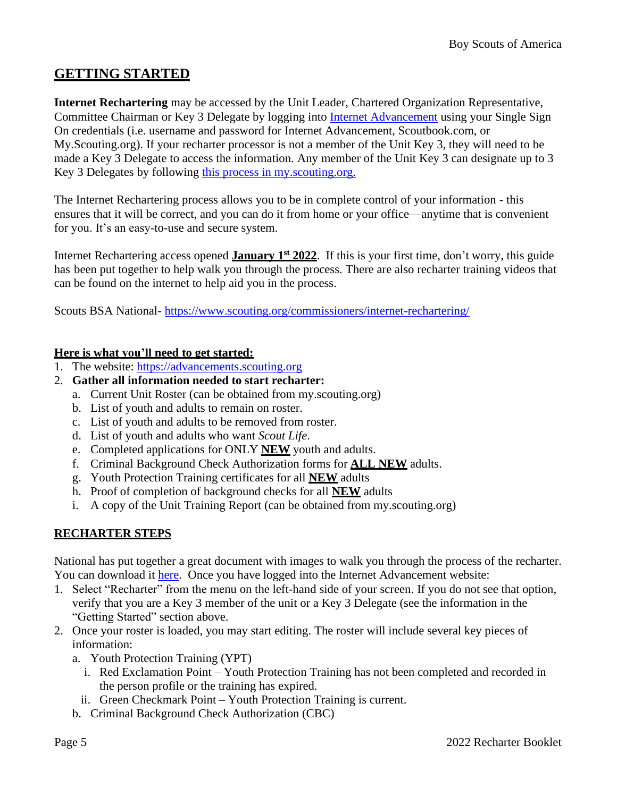## <span id="page-4-0"></span>**GETTING STARTED**

**Internet Rechartering** may be accessed by the Unit Leader, Chartered Organization Representative, Committee Chairman or Key 3 Delegate by logging into Internet Advancement using your Single Sign On credentials (i.e. username and password for Internet Advancement, Scoutbook.com, or My.Scouting.org). If your recharter processor is not a member of the Unit Key 3, they will need to be made a Key 3 Delegate to access the information. Any member of the Unit Key 3 can designate up to 3 Key 3 Delegates by following this process [in my.scouting.org.](https://help.scoutbook.scouting.org/knowledge-base/assigning-a-key-3-delegate-or-other-position-in-my-scouting/)

The Internet Rechartering process allows you to be in complete control of your information - this ensures that it will be correct, and you can do it from home or your office—anytime that is convenient for you. It's an easy-to-use and secure system.

Internet Rechartering access opened **January 1st 2022**. If this is your first time, don't worry, this guide has been put together to help walk you through the process. There are also recharter training videos that can be found on the internet to help aid you in the process.

Scouts BSA National- <https://www.scouting.org/commissioners/internet-rechartering/>

#### **Here is what you'll need to get started:**

- 1. The website: [https://advancements.scouting.org](https://advancements.scouting.org/)
- 2. **Gather all information needed to start recharter:**
	- a. Current Unit Roster (can be obtained from my.scouting.org)
		- b. List of youth and adults to remain on roster.
		- c. List of youth and adults to be removed from roster.
		- d. List of youth and adults who want *Scout Life*.
		- e. Completed applications for ONLY **NEW** youth and adults.
		- f. Criminal Background Check Authorization forms for **ALL NEW** adults.
		- g. Youth Protection Training certificates for all **NEW** adults
		- h. Proof of completion of background checks for all **NEW** adults
		- i. A copy of the Unit Training Report (can be obtained from my.scouting.org)

#### **RECHARTER STEPS**

National has put together a great document with images to walk you through the process of the recharter. You can download it [here.](https://www.scouting.org/wp-content/uploads/2021/09/Internet-Rechartering-2.0-User-Guide-Michaela-Monson.pdf) Once you have logged into the Internet Advancement website:

- 1. Select "Recharter" from the menu on the left-hand side of your screen. If you do not see that option, verify that you are a Key 3 member of the unit or a Key 3 Delegate (see the information in the "Getting Started" section above.
- 2. Once your roster is loaded, you may start editing. The roster will include several key pieces of information:
	- a. Youth Protection Training (YPT)
		- i. Red Exclamation Point Youth Protection Training has not been completed and recorded in the person profile or the training has expired.
		- ii. Green Checkmark Point Youth Protection Training is current.
	- b. Criminal Background Check Authorization (CBC)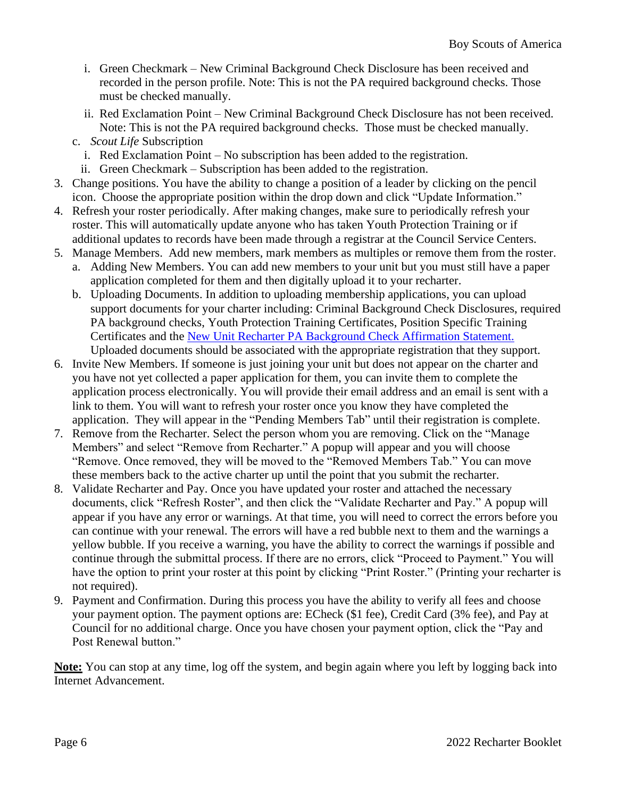- i. Green Checkmark New Criminal Background Check Disclosure has been received and recorded in the person profile. Note: This is not the PA required background checks. Those must be checked manually.
- ii. Red Exclamation Point New Criminal Background Check Disclosure has not been received. Note: This is not the PA required background checks. Those must be checked manually.
- c. *Scout Life* Subscription
	- i. Red Exclamation Point No subscription has been added to the registration.
	- ii. Green Checkmark Subscription has been added to the registration.
- 3. Change positions. You have the ability to change a position of a leader by clicking on the pencil icon. Choose the appropriate position within the drop down and click "Update Information."
- 4. Refresh your roster periodically. After making changes, make sure to periodically refresh your roster. This will automatically update anyone who has taken Youth Protection Training or if additional updates to records have been made through a registrar at the Council Service Centers.
- 5. Manage Members. Add new members, mark members as multiples or remove them from the roster.
	- a. Adding New Members. You can add new members to your unit but you must still have a paper application completed for them and then digitally upload it to your recharter.
	- b. Uploading Documents. In addition to uploading membership applications, you can upload support documents for your charter including: Criminal Background Check Disclosures, required PA background checks, Youth Protection Training Certificates, Position Specific Training Certificates and the [New Unit Recharter PA Background Check Affirmation Statement.](https://hmc-bsa.org/wp-content/uploads/2022/01/affirmation-sheet-fixed.pdf) Uploaded documents should be associated with the appropriate registration that they support.
- 6. Invite New Members. If someone is just joining your unit but does not appear on the charter and you have not yet collected a paper application for them, you can invite them to complete the application process electronically. You will provide their email address and an email is sent with a link to them. You will want to refresh your roster once you know they have completed the application. They will appear in the "Pending Members Tab" until their registration is complete.
- 7. Remove from the Recharter. Select the person whom you are removing. Click on the "Manage Members" and select "Remove from Recharter." A popup will appear and you will choose "Remove. Once removed, they will be moved to the "Removed Members Tab." You can move these members back to the active charter up until the point that you submit the recharter.
- 8. Validate Recharter and Pay. Once you have updated your roster and attached the necessary documents, click "Refresh Roster", and then click the "Validate Recharter and Pay." A popup will appear if you have any error or warnings. At that time, you will need to correct the errors before you can continue with your renewal. The errors will have a red bubble next to them and the warnings a yellow bubble. If you receive a warning, you have the ability to correct the warnings if possible and continue through the submittal process. If there are no errors, click "Proceed to Payment." You will have the option to print your roster at this point by clicking "Print Roster." (Printing your recharter is not required).
- 9. Payment and Confirmation. During this process you have the ability to verify all fees and choose your payment option. The payment options are: ECheck (\$1 fee), Credit Card (3% fee), and Pay at Council for no additional charge. Once you have chosen your payment option, click the "Pay and Post Renewal button."

<span id="page-5-0"></span>**Note:** You can stop at any time, log off the system, and begin again where you left by logging back into Internet Advancement.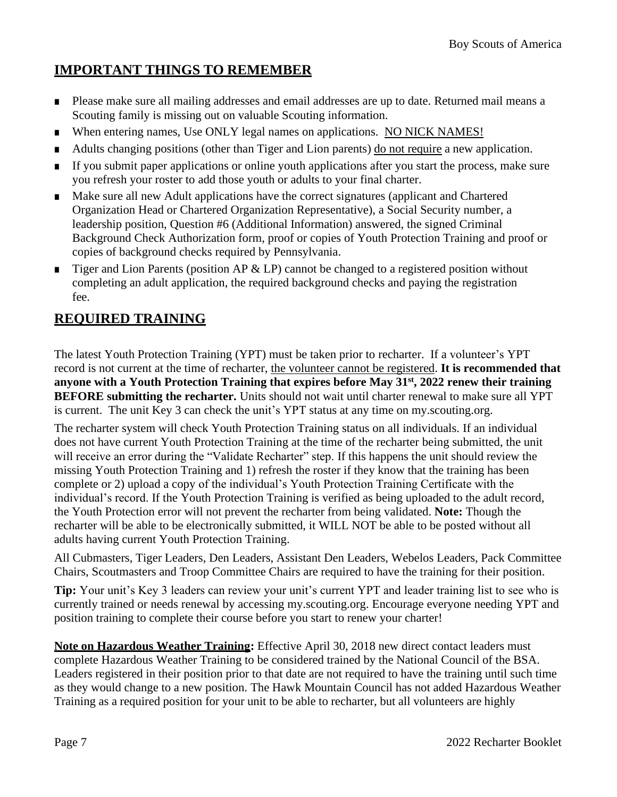## **IMPORTANT THINGS TO REMEMBER**

- Please make sure all mailing addresses and email addresses are up to date. Returned mail means a Scouting family is missing out on valuable Scouting information.
- When entering names, Use ONLY legal names on applications. NO NICK NAMES!
- Adults changing positions (other than Tiger and Lion parents) do not require a new application.
- If you submit paper applications or online youth applications after you start the process, make sure you refresh your roster to add those youth or adults to your final charter.
- Make sure all new Adult applications have the correct signatures (applicant and Chartered Organization Head or Chartered Organization Representative), a Social Security number, a leadership position, Question #6 (Additional Information) answered, the signed Criminal Background Check Authorization form, proof or copies of Youth Protection Training and proof or copies of background checks required by Pennsylvania.
- Tiger and Lion Parents (position AP  $\&$  LP) cannot be changed to a registered position without completing an adult application, the required background checks and paying the registration fee.

## <span id="page-6-0"></span>**REQUIRED TRAINING**

The latest Youth Protection Training (YPT) must be taken prior to recharter. If a volunteer's YPT record is not current at the time of recharter, the volunteer cannot be registered. **It is recommended that anyone with a Youth Protection Training that expires before May 31st, 2022 renew their training BEFORE submitting the recharter.** Units should not wait until charter renewal to make sure all YPT is current. The unit Key 3 can check the unit's YPT status at any time on my.scouting.org.

The recharter system will check Youth Protection Training status on all individuals. If an individual does not have current Youth Protection Training at the time of the recharter being submitted, the unit will receive an error during the "Validate Recharter" step. If this happens the unit should review the missing Youth Protection Training and 1) refresh the roster if they know that the training has been complete or 2) upload a copy of the individual's Youth Protection Training Certificate with the individual's record. If the Youth Protection Training is verified as being uploaded to the adult record, the Youth Protection error will not prevent the recharter from being validated. **Note:** Though the recharter will be able to be electronically submitted, it WILL NOT be able to be posted without all adults having current Youth Protection Training.

All Cubmasters, Tiger Leaders, Den Leaders, Assistant Den Leaders, Webelos Leaders, Pack Committee Chairs, Scoutmasters and Troop Committee Chairs are required to have the training for their position.

**Tip:** Your unit's Key 3 leaders can review your unit's current YPT and leader training list to see who is currently trained or needs renewal by accessing my.scouting.org. Encourage everyone needing YPT and position training to complete their course before you start to renew your charter!

**Note on Hazardous Weather Training:** Effective April 30, 2018 new direct contact leaders must complete Hazardous Weather Training to be considered trained by the National Council of the BSA. Leaders registered in their position prior to that date are not required to have the training until such time as they would change to a new position. The Hawk Mountain Council has not added Hazardous Weather Training as a required position for your unit to be able to recharter, but all volunteers are highly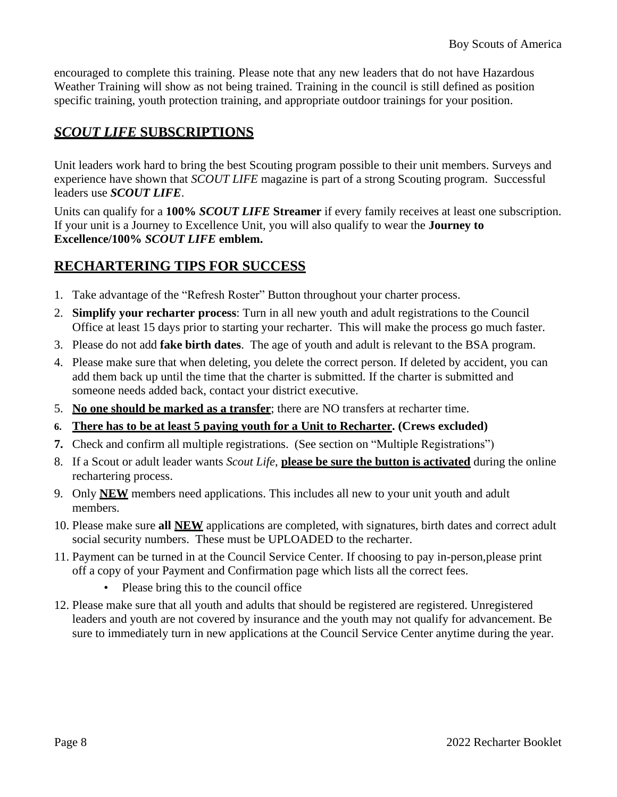encouraged to complete this training. Please note that any new leaders that do not have Hazardous Weather Training will show as not being trained. Training in the council is still defined as position specific training, youth protection training, and appropriate outdoor trainings for your position.

## *SCOUT LIFE* **SUBSCRIPTIONS**

Unit leaders work hard to bring the best Scouting program possible to their unit members. Surveys and experience have shown that *SCOUT LIFE* magazine is part of a strong Scouting program. Successful leaders use *SCOUT LIFE*.

Units can qualify for a **100%** *SCOUT LIFE* **Streamer** if every family receives at least one subscription. If your unit is a Journey to Excellence Unit, you will also qualify to wear the **Journey to Excellence/100%** *SCOUT LIFE* **emblem.**

## <span id="page-7-0"></span>**RECHARTERING TIPS FOR SUCCESS**

- 1. Take advantage of the "Refresh Roster" Button throughout your charter process.
- 2. **Simplify your recharter process**: Turn in all new youth and adult registrations to the Council Office at least 15 days prior to starting your recharter. This will make the process go much faster.
- 3. Please do not add **fake birth dates**. The age of youth and adult is relevant to the BSA program.
- 4. Please make sure that when deleting, you delete the correct person. If deleted by accident, you can add them back up until the time that the charter is submitted. If the charter is submitted and someone needs added back, contact your district executive.
- 5. **No one should be marked as a transfer**; there are NO transfers at recharter time.
- **6. There has to be at least 5 paying youth for a Unit to Recharter. (Crews excluded)**
- **7.** Check and confirm all multiple registrations. (See section on "Multiple Registrations")
- 8. If a Scout or adult leader wants *Scout Life*, **please be sure the button is activated** during the online rechartering process.
- 9. Only **NEW** members need applications. This includes all new to your unit youth and adult members.
- 10. Please make sure **all NEW** applications are completed, with signatures, birth dates and correct adult social security numbers. These must be UPLOADED to the recharter.
- 11. Payment can be turned in at the Council Service Center. If choosing to pay in-person,please print off a copy of your Payment and Confirmation page which lists all the correct fees.
	- Please bring this to the council office
- 12. Please make sure that all youth and adults that should be registered are registered. Unregistered leaders and youth are not covered by insurance and the youth may not qualify for advancement. Be sure to immediately turn in new applications at the Council Service Center anytime during the year.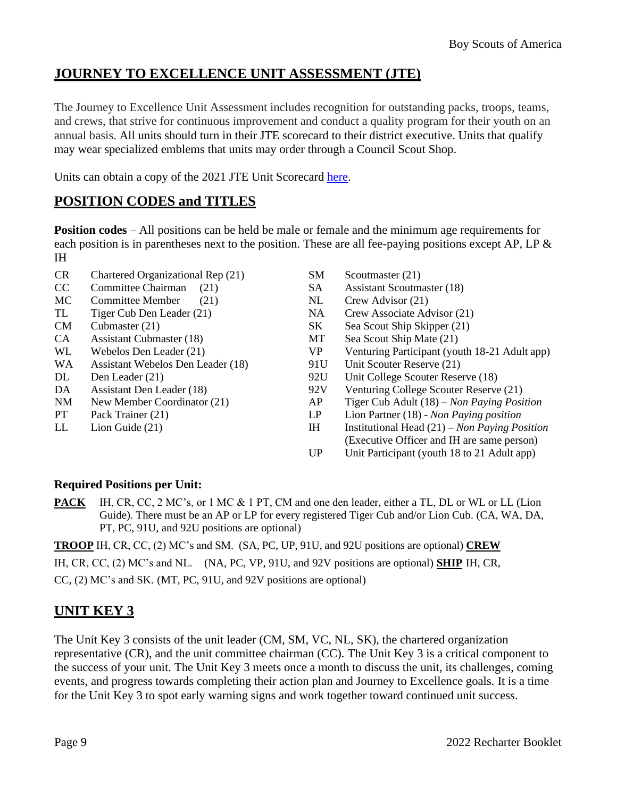## **JOURNEY TO EXCELLENCE UNIT ASSESSMENT (JTE)**

The Journey to Excellence Unit Assessment includes recognition for outstanding packs, troops, teams, and crews, that strive for continuous improvement and conduct a quality program for their youth on an annual basis. All units should turn in their JTE scorecard to their district executive. Units that qualify may wear specialized emblems that units may order through a Council Scout Shop.

Units can obtain a copy of the 2021 JTE Unit Scorecard [here.](https://www.scouting.org/awards/journey-to-excellence/unit/)

## <span id="page-8-0"></span>**POSITION CODES and TITLES**

**Position codes** – All positions can be held be male or female and the minimum age requirements for each position is in parentheses next to the position. These are all fee-paying positions except AP, LP & IH

- CR Chartered Organizational Rep (21) SM Scoutmaster (21)
- CC Committee Chairman (21) SA Assistant Scoutmaster (18)
- MC Committee Member (21) NL Crew Advisor (21)
- 
- 
- 
- 
- WA Assistant Webelos Den Leader (18) 91U Unit Scouter Reserve (21)
- 
- 
- 
- 
- 
- 
- 
- 
- TL Tiger Cub Den Leader (21) NA Crew Associate Advisor (21)
- CM Cubmaster (21) SK Sea Scout Ship Skipper (21)
- CA Assistant Cubmaster (18) MT Sea Scout Ship Mate (21)
- WL Webelos Den Leader (21) VP Venturing Participant (youth 18-21 Adult app)
	-
- DL Den Leader (21) 92U Unit College Scouter Reserve (18)
- DA Assistant Den Leader (18) 92V Venturing College Scouter Reserve (21)
- NM New Member Coordinator (21) AP Tiger Cub Adult (18) *Non Paying Position*
- PT Pack Trainer (21) LP Lion Partner (18) *Non Paying position*
- LL Lion Guide (21) IH Institutional Head (21) *Non Paying Position* (Executive Officer and IH are same person)
	- UP Unit Participant (youth 18 to 21 Adult app)

#### **Required Positions per Unit:**

**PACK** IH, CR, CC, 2 MC's, or 1 MC & 1 PT, CM and one den leader, either a TL, DL or WL or LL (Lion Guide). There must be an AP or LP for every registered Tiger Cub and/or Lion Cub. (CA, WA, DA, PT, PC, 91U, and 92U positions are optional)

**TROOP** IH, CR, CC, (2) MC's and SM. (SA, PC, UP, 91U, and 92U positions are optional) **CREW** 

IH, CR, CC, (2) MC's and NL. (NA, PC, VP, 91U, and 92V positions are optional) **SHIP** IH, CR,

CC, (2) MC's and SK. (MT, PC, 91U, and 92V positions are optional)

## <span id="page-8-1"></span>**UNIT KEY 3**

The Unit Key 3 consists of the unit leader (CM, SM, VC, NL, SK), the chartered organization representative (CR), and the unit committee chairman (CC). The Unit Key 3 is a critical component to the success of your unit. The Unit Key 3 meets once a month to discuss the unit, its challenges, coming events, and progress towards completing their action plan and Journey to Excellence goals. It is a time for the Unit Key 3 to spot early warning signs and work together toward continued unit success.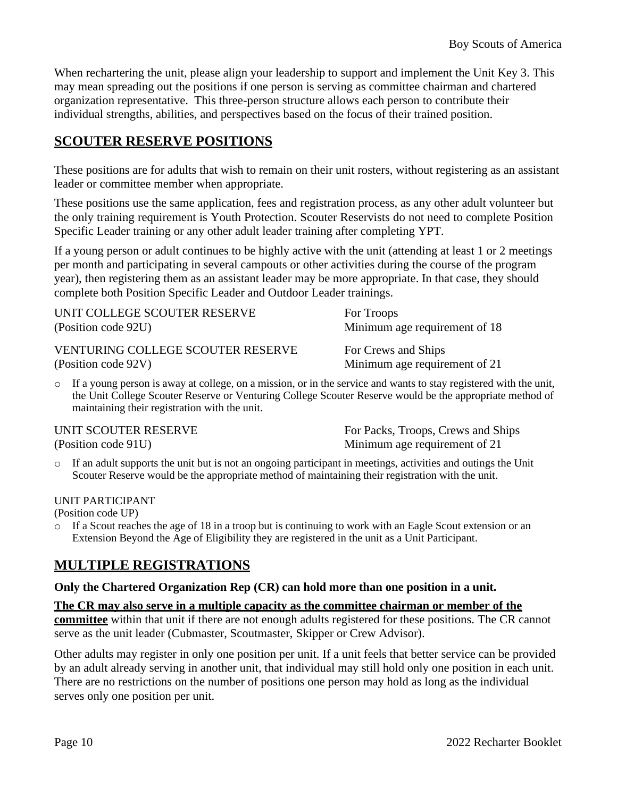When rechartering the unit, please align your leadership to support and implement the Unit Key 3. This may mean spreading out the positions if one person is serving as committee chairman and chartered organization representative. This three-person structure allows each person to contribute their individual strengths, abilities, and perspectives based on the focus of their trained position.

## <span id="page-9-0"></span>**SCOUTER RESERVE POSITIONS**

These positions are for adults that wish to remain on their unit rosters, without registering as an assistant leader or committee member when appropriate.

These positions use the same application, fees and registration process, as any other adult volunteer but the only training requirement is Youth Protection. Scouter Reservists do not need to complete Position Specific Leader training or any other adult leader training after completing YPT.

If a young person or adult continues to be highly active with the unit (attending at least 1 or 2 meetings per month and participating in several campouts or other activities during the course of the program year), then registering them as an assistant leader may be more appropriate. In that case, they should complete both Position Specific Leader and Outdoor Leader trainings.

| UNIT COLLEGE SCOUTER RESERVE             | For Troops                    |
|------------------------------------------|-------------------------------|
| (Position code 92U)                      | Minimum age requirement of 18 |
| <b>VENTURING COLLEGE SCOUTER RESERVE</b> | For Crews and Ships           |
| (Position code 92V)                      | Minimum age requirement of 21 |

 $\circ$  If a young person is away at college, on a mission, or in the service and wants to stay registered with the unit, the Unit College Scouter Reserve or Venturing College Scouter Reserve would be the appropriate method of maintaining their registration with the unit.

For Packs, Troops, Crews and Ships (Position code 91U) Minimum age requirement of 21

o If an adult supports the unit but is not an ongoing participant in meetings, activities and outings the Unit Scouter Reserve would be the appropriate method of maintaining their registration with the unit.

#### UNIT PARTICIPANT

(Position code UP)

o If a Scout reaches the age of 18 in a troop but is continuing to work with an Eagle Scout extension or an Extension Beyond the Age of Eligibility they are registered in the unit as a Unit Participant.

## <span id="page-9-1"></span>**MULTIPLE REGISTRATIONS**

#### **Only the Chartered Organization Rep (CR) can hold more than one position in a unit.**

#### **The CR may also serve in a multiple capacity as the committee chairman or member of the**

**committee** within that unit if there are not enough adults registered for these positions. The CR cannot serve as the unit leader (Cubmaster, Scoutmaster, Skipper or Crew Advisor).

Other adults may register in only one position per unit. If a unit feels that better service can be provided by an adult already serving in another unit, that individual may still hold only one position in each unit. There are no restrictions on the number of positions one person may hold as long as the individual serves only one position per unit.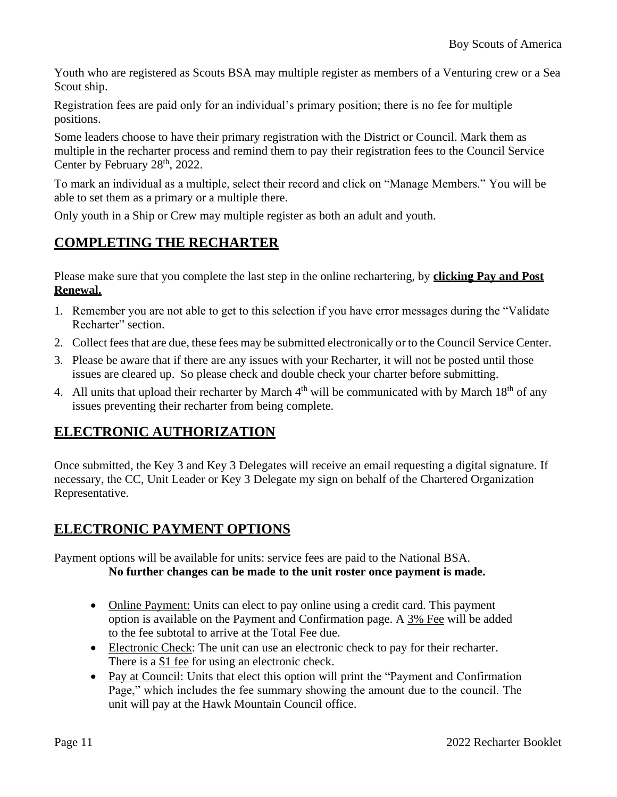Youth who are registered as Scouts BSA may multiple register as members of a Venturing crew or a Sea Scout ship.

Registration fees are paid only for an individual's primary position; there is no fee for multiple positions.

Some leaders choose to have their primary registration with the District or Council. Mark them as multiple in the recharter process and remind them to pay their registration fees to the Council Service Center by February 28<sup>th</sup>, 2022.

To mark an individual as a multiple, select their record and click on "Manage Members." You will be able to set them as a primary or a multiple there.

Only youth in a Ship or Crew may multiple register as both an adult and youth.

## <span id="page-10-0"></span>**COMPLETING THE RECHARTER**

Please make sure that you complete the last step in the online rechartering, by **clicking Pay and Post Renewal.**

- 1. Remember you are not able to get to this selection if you have error messages during the "Validate Recharter" section.
- 2. Collect fees that are due, these fees may be submitted electronically or to the Council Service Center.
- 3. Please be aware that if there are any issues with your Recharter, it will not be posted until those issues are cleared up. So please check and double check your charter before submitting.
- 4. All units that upload their recharter by March  $4<sup>th</sup>$  will be communicated with by March  $18<sup>th</sup>$  of any issues preventing their recharter from being complete.

## **ELECTRONIC AUTHORIZATION**

Once submitted, the Key 3 and Key 3 Delegates will receive an email requesting a digital signature. If necessary, the CC, Unit Leader or Key 3 Delegate my sign on behalf of the Chartered Organization Representative.

## **ELECTRONIC PAYMENT OPTIONS**

Payment options will be available for units: service fees are paid to the National BSA.

### **No further changes can be made to the unit roster once payment is made.**

- Online Payment: Units can elect to pay online using a credit card. This payment option is available on the Payment and Confirmation page. A 3% Fee will be added to the fee subtotal to arrive at the Total Fee due.
- Electronic Check: The unit can use an electronic check to pay for their recharter. There is a \$1 fee for using an electronic check.
- Pay at Council: Units that elect this option will print the "Payment and Confirmation" Page," which includes the fee summary showing the amount due to the council. The unit will pay at the Hawk Mountain Council office.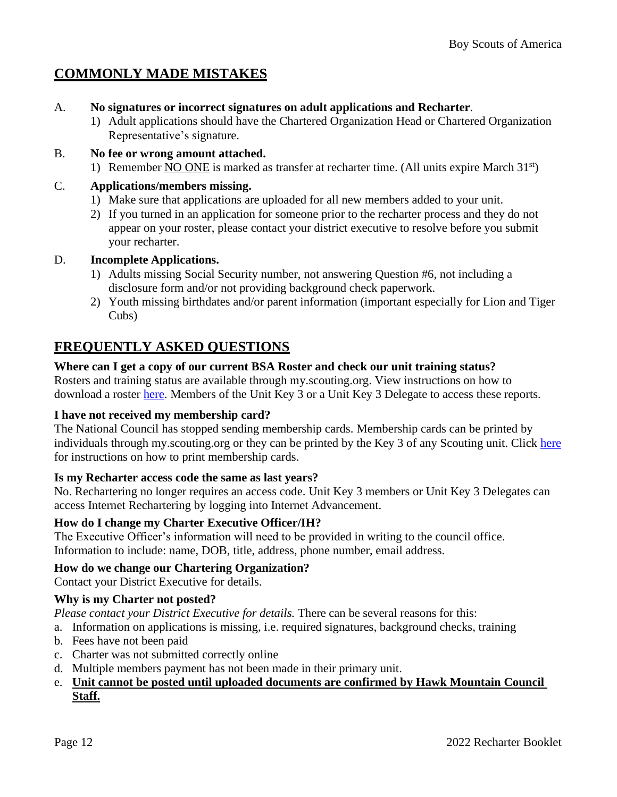## <span id="page-11-0"></span>**COMMONLY MADE MISTAKES**

- A. **No signatures or incorrect signatures on adult applications and Recharter**.
	- 1) Adult applications should have the Chartered Organization Head or Chartered Organization Representative's signature.
- B. **No fee or wrong amount attached.**
	- 1) Remember NO ONE is marked as transfer at recharter time. (All units expire March  $31<sup>st</sup>$ )

#### C. **Applications/members missing.**

- 1) Make sure that applications are uploaded for all new members added to your unit.
- 2) If you turned in an application for someone prior to the recharter process and they do not appear on your roster, please contact your district executive to resolve before you submit your recharter.

#### D. **Incomplete Applications.**

- 1) Adults missing Social Security number, not answering Question #6, not including a disclosure form and/or not providing background check paperwork.
- 2) Youth missing birthdates and/or parent information (important especially for Lion and Tiger Cubs)

## <span id="page-11-1"></span>**FREQUENTLY ASKED QUESTIONS**

#### **Where can I get a copy of our current BSA Roster and check our unit training status?**

Rosters and training status are available through my.scouting.org. View instructions on how to download a roster [here.](https://filestore.scouting.org/filestore/idg/Member_Manager-v4.pdf) Members of the Unit Key 3 or a Unit Key 3 Delegate to access these reports.

#### **I have not received my membership card?**

The National Council has stopped sending membership cards. Membership cards can be printed by individuals through my.scouting.org or they can be printed by the Key 3 of any Scouting unit. Click [here](https://help.scoutbook.scouting.org/knowledge-base/how-do-i-print-membership-cards/) for instructions on how to print membership cards.

#### **Is my Recharter access code the same as last years?**

No. Rechartering no longer requires an access code. Unit Key 3 members or Unit Key 3 Delegates can access Internet Rechartering by logging into Internet Advancement.

#### **How do I change my Charter Executive Officer/IH?**

The Executive Officer's information will need to be provided in writing to the council office. Information to include: name, DOB, title, address, phone number, email address.

#### **How do we change our Chartering Organization?**

Contact your District Executive for details.

#### **Why is my Charter not posted?**

*Please contact your District Executive for details.* There can be several reasons for this:

- a. Information on applications is missing, i.e. required signatures, background checks, training
- b. Fees have not been paid
- c. Charter was not submitted correctly online
- d. Multiple members payment has not been made in their primary unit.

#### e. **Unit cannot be posted until uploaded documents are confirmed by Hawk Mountain Council Staff.**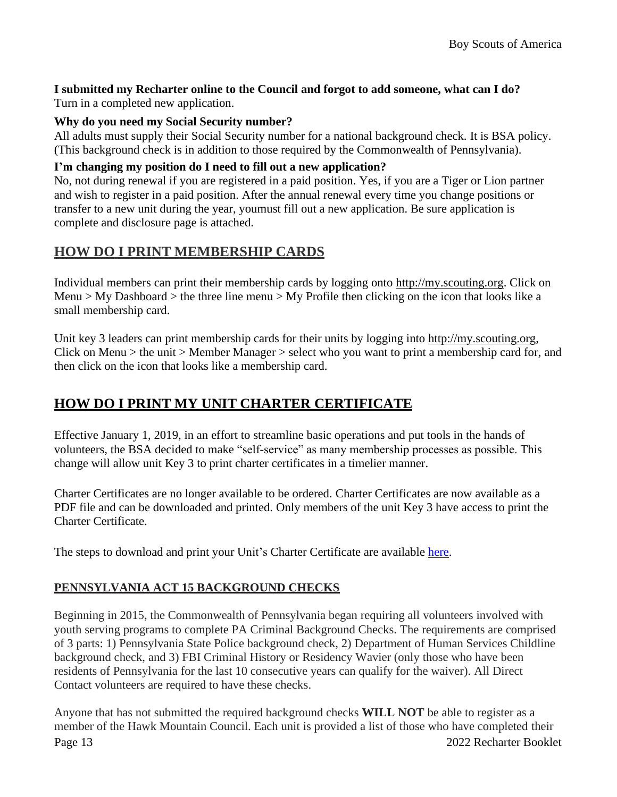#### **I submitted my Recharter online to the Council and forgot to add someone, what can I do?** Turn in a completed new application.

#### **Why do you need my Social Security number?**

All adults must supply their Social Security number for a national background check. It is BSA policy. (This background check is in addition to those required by the Commonwealth of Pennsylvania).

#### **I'm changing my position do I need to fill out a new application?**

No, not during renewal if you are registered in a paid position. Yes, if you are a Tiger or Lion partner and wish to register in a paid position. After the annual renewal every time you change positions or transfer to a new unit during the year, youmust fill out a new application. Be sure application is complete and disclosure page is attached.

## **HOW DO I PRINT MEMBERSHIP CARDS**

Individual members can print their membership cards by logging onto [http://my.scouting.org.](http://my.scouting.org/) Click on Menu > My Dashboard > the three line menu > My Profile then clicking on the icon that looks like a small membership card.

Unit key 3 leaders can print membership cards for their units by logging into [http://my.scouting.org,](http://my.scouting.org/) Click on Menu > the unit > Member Manager > select who you want to print a membership card for, and then click on the icon that looks like a membership card.

## **HOW DO I PRINT MY UNIT CHARTER CERTIFICATE**

Effective January 1, 2019, in an effort to streamline basic operations and put tools in the hands of volunteers, the BSA decided to make "self-service" as many membership processes as possible. This change will allow unit Key 3 to print charter certificates in a timelier manner.

Charter Certificates are no longer available to be ordered. Charter Certificates are now available as a PDF file and can be downloaded and printed. Only members of the unit Key 3 have access to print the Charter Certificate.

The steps to download and print your Unit's Charter Certificate are available [here.](https://www.scouting.org/wp-content/uploads/2020/03/Charter-Certificate-Printing-DETAILED-INSTRUCTIONS.pdf)

### **PENNSYLVANIA ACT 15 BACKGROUND CHECKS**

Beginning in 2015, the Commonwealth of Pennsylvania began requiring all volunteers involved with youth serving programs to complete PA Criminal Background Checks. The requirements are comprised of 3 parts: 1) Pennsylvania State Police background check, 2) Department of Human Services Childline background check, and 3) FBI Criminal History or Residency Wavier (only those who have been residents of Pennsylvania for the last 10 consecutive years can qualify for the waiver). All Direct Contact volunteers are required to have these checks.

Page 13 2022 Recharter Booklet Anyone that has not submitted the required background checks **WILL NOT** be able to register as a member of the Hawk Mountain Council. Each unit is provided a list of those who have completed their